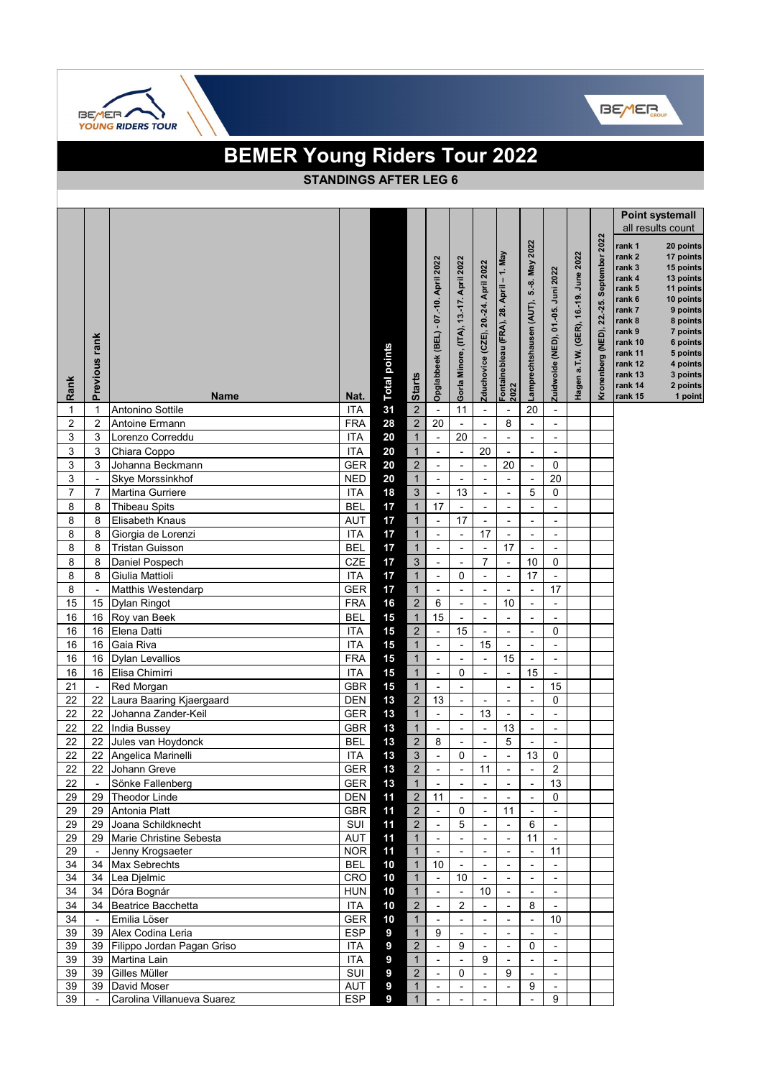



|          |                                            | <b>BEMER Young Riders Tour 2022</b>      |                              |                     |                                |                                                      |                                         |                                           |                                                      |                                            |                                    |                                       |                                                    |                                                                                                                                                                     |                                                                                                                                                                                       |
|----------|--------------------------------------------|------------------------------------------|------------------------------|---------------------|--------------------------------|------------------------------------------------------|-----------------------------------------|-------------------------------------------|------------------------------------------------------|--------------------------------------------|------------------------------------|---------------------------------------|----------------------------------------------------|---------------------------------------------------------------------------------------------------------------------------------------------------------------------|---------------------------------------------------------------------------------------------------------------------------------------------------------------------------------------|
|          |                                            |                                          | <b>STANDINGS AFTER LEG 6</b> |                     |                                |                                                      |                                         |                                           |                                                      |                                            |                                    |                                       |                                                    |                                                                                                                                                                     |                                                                                                                                                                                       |
|          |                                            |                                          |                              |                     |                                |                                                      |                                         |                                           |                                                      |                                            |                                    |                                       |                                                    |                                                                                                                                                                     |                                                                                                                                                                                       |
|          |                                            |                                          |                              |                     |                                |                                                      |                                         |                                           |                                                      |                                            |                                    |                                       |                                                    |                                                                                                                                                                     | <b>Point systemall</b><br>all results count                                                                                                                                           |
| Rank     | Previous rank                              | <b>Name</b>                              | Nat.                         | <b>Total points</b> | <b>Starts</b>                  | Opglabbeek (BEL) - 07.-10. April 2022                | Gorla Minore, (ITA), 13.-17. April 2022 | Zduchovice (CZE), 20.-24. April 2022      | Fontainebleau (FRA), 28. April – 1. May<br>2022      | 5.-8. May 2022<br>Lamprechtshausen (AUT),  | Zuidwolde (NED), 01.-05. Juni 2022 | Hagen a.T.W. (GER), 16.-19. June 2022 | September 2022<br>$22 - 25$ .<br>Kronenberg (NED), | rank 1<br>rank <sub>2</sub><br>rank 3<br>rank 4<br>rank 5<br>rank 6<br>rank 7<br>rank 8<br>rank 9<br>rank 10<br>rank 11<br>rank 12<br>rank 13<br>rank 14<br>rank 15 | 20 points<br>17 points<br>15 points<br>13 points<br>11 points<br>10 points<br>9 points<br>8 points<br>7 points<br>6 points<br>5 points<br>4 points<br>3 points<br>2 points<br>1 point |
| 1        | 1                                          | Antonino Sottile                         | <b>ITA</b>                   | 31                  | $\overline{2}$                 | $\overline{\phantom{a}}$                             | 11                                      | $\overline{\phantom{a}}$                  | $\overline{\phantom{a}}$                             | 20                                         | $\blacksquare$                     |                                       |                                                    |                                                                                                                                                                     |                                                                                                                                                                                       |
| 2        | $\overline{2}$                             | Antoine Ermann                           | <b>FRA</b>                   | 28                  | $\sqrt{2}$                     | 20                                                   | $\blacksquare$                          | $\overline{\phantom{a}}$                  | 8                                                    | $\overline{\phantom{a}}$                   |                                    |                                       |                                                    |                                                                                                                                                                     |                                                                                                                                                                                       |
| 3        | 3                                          | Lorenzo Correddu                         | <b>ITA</b>                   | 20                  | $\mathbf{1}$                   | $\overline{\phantom{a}}$                             | 20                                      | $\overline{\phantom{a}}$                  | $\overline{\phantom{a}}$                             | $\overline{\phantom{a}}$                   | $\overline{\phantom{a}}$           |                                       |                                                    |                                                                                                                                                                     |                                                                                                                                                                                       |
| 3        | 3                                          | Chiara Coppo                             | <b>ITA</b>                   | 20                  | $\mathbf{1}$                   | $\blacksquare$                                       | $\overline{\phantom{a}}$                | 20                                        | $\overline{\phantom{a}}$                             | $\overline{\phantom{a}}$                   |                                    |                                       |                                                    |                                                                                                                                                                     |                                                                                                                                                                                       |
| 3        | 3                                          | Johanna Beckmann                         | GER                          | 20                  | $\overline{2}$                 | $\overline{a}$                                       | $\overline{\phantom{a}}$                | $\overline{\phantom{a}}$                  | 20                                                   | $\overline{\phantom{a}}$                   | $\mathbf 0$                        |                                       |                                                    |                                                                                                                                                                     |                                                                                                                                                                                       |
| 3        | $\overline{\phantom{a}}$<br>$\overline{7}$ | Skye Morssinkhof                         | <b>NED</b>                   | 20                  | $\mathbf{1}$                   | $\overline{\phantom{a}}$<br>$\overline{\phantom{a}}$ | $\blacksquare$                          | $\overline{\phantom{a}}$                  | $\overline{\phantom{a}}$<br>$\overline{a}$           | $\overline{\phantom{0}}$                   | 20                                 |                                       |                                                    |                                                                                                                                                                     |                                                                                                                                                                                       |
| 7<br>8   | 8                                          | Martina Gurriere<br><b>Thibeau Spits</b> | <b>ITA</b><br><b>BEL</b>     | 18<br>17            | $\mathfrak{S}$<br>$\mathbf{1}$ | 17                                                   | 13                                      | $\overline{a}$                            |                                                      | 5<br>$\overline{\phantom{a}}$              | $\pmb{0}$                          |                                       |                                                    |                                                                                                                                                                     |                                                                                                                                                                                       |
| 8        | 8                                          | Elisabeth Knaus                          | AUT                          | 17                  | $\mathbf{1}$                   | $\blacksquare$                                       | $\overline{\phantom{a}}$<br>17          | $\overline{\phantom{a}}$<br>$\frac{1}{2}$ | $\overline{\phantom{a}}$<br>$\overline{\phantom{a}}$ | $\blacksquare$                             | $\overline{\phantom{a}}$           |                                       |                                                    |                                                                                                                                                                     |                                                                                                                                                                                       |
| 8        | 8                                          | Giorgia de Lorenzi                       | <b>ITA</b>                   | 17                  | $\mathbf{1}$                   | L.                                                   | $\overline{\phantom{a}}$                | 17                                        | $\blacksquare$                                       | $\overline{\phantom{a}}$                   | $\overline{\phantom{a}}$           |                                       |                                                    |                                                                                                                                                                     |                                                                                                                                                                                       |
| 8        | 8                                          | <b>Tristan Guisson</b>                   | <b>BEL</b>                   | 17                  | $\mathbf{1}$                   | $\overline{\phantom{a}}$                             | $\blacksquare$                          | $\frac{1}{2}$                             | 17                                                   | $\overline{\phantom{a}}$                   |                                    |                                       |                                                    |                                                                                                                                                                     |                                                                                                                                                                                       |
| 8        | 8                                          | Daniel Pospech                           | <b>CZE</b>                   | 17                  | 3                              | $\overline{a}$                                       | $\sim$                                  | $\overline{7}$                            | $\Box$                                               | 10                                         | 0                                  |                                       |                                                    |                                                                                                                                                                     |                                                                                                                                                                                       |
| 8        | 8                                          | Giulia Mattioli                          | <b>ITA</b>                   | 17                  | $\mathbf{1}$                   | $\overline{\phantom{0}}$                             | 0                                       | $\frac{1}{2}$                             | $\overline{\phantom{a}}$                             | 17                                         | $\overline{\phantom{a}}$           |                                       |                                                    |                                                                                                                                                                     |                                                                                                                                                                                       |
| 8        |                                            | <b>Matthis Westendarp</b>                | <b>GER</b>                   | 17                  | $\mathbf{1}$                   | $\frac{1}{2}$                                        | $\overline{\phantom{a}}$                | L,                                        | $\overline{\phantom{a}}$                             | $\blacksquare$                             | 17                                 |                                       |                                                    |                                                                                                                                                                     |                                                                                                                                                                                       |
| 15       | 15 <sub>1</sub>                            | Dylan Ringot                             | <b>FRA</b>                   | 16                  | $\overline{2}$                 | 6                                                    | $\overline{\phantom{a}}$                | Ĭ.                                        | 10                                                   | $\overline{\phantom{a}}$                   | $\blacksquare$                     |                                       |                                                    |                                                                                                                                                                     |                                                                                                                                                                                       |
| 16       | 16                                         | Roy van Beek                             | <b>BEL</b>                   | 15                  | $\overline{1}$                 | 15                                                   | $\overline{\phantom{a}}$                | $\overline{a}$                            | $\overline{\phantom{a}}$                             | $\overline{\phantom{a}}$                   |                                    |                                       |                                                    |                                                                                                                                                                     |                                                                                                                                                                                       |
| 16       | 16                                         | Elena Datti                              | ITA                          | 15                  | $\overline{2}$                 | $\overline{\phantom{a}}$                             | 15                                      | $\blacksquare$                            | $\overline{\phantom{a}}$                             | $\overline{\phantom{a}}$                   | $\mathbf 0$                        |                                       |                                                    |                                                                                                                                                                     |                                                                                                                                                                                       |
| 16       | 16                                         | Gaia Riva                                | <b>ITA</b>                   | 15                  | $\mathbf{1}$                   | $\blacksquare$                                       | $\overline{\phantom{a}}$                | 15                                        | $\overline{\phantom{a}}$                             | $\overline{\phantom{a}}$                   | $\overline{\phantom{a}}$           |                                       |                                                    |                                                                                                                                                                     |                                                                                                                                                                                       |
| 16       | 16                                         | <b>Dylan Levallios</b>                   | <b>FRA</b>                   | 15                  | $\mathbf{1}$                   | $\frac{1}{2}$                                        | $\overline{\phantom{a}}$                | $\overline{a}$                            | 15                                                   | $\overline{\phantom{a}}$                   |                                    |                                       |                                                    |                                                                                                                                                                     |                                                                                                                                                                                       |
| 16       | 16                                         | Elisa Chimirri                           | <b>ITA</b>                   | 15                  | $\mathbf{1}$                   | $\overline{a}$                                       | 0                                       |                                           | $\blacksquare$                                       | 15                                         |                                    |                                       |                                                    |                                                                                                                                                                     |                                                                                                                                                                                       |
| 21       |                                            | Red Morgan                               | GBR                          | 15                  | $\mathbf{1}$                   | $\overline{\phantom{a}}$                             | $\blacksquare$                          |                                           | $\overline{\phantom{a}}$                             | $\overline{\phantom{a}}$                   | 15                                 |                                       |                                                    |                                                                                                                                                                     |                                                                                                                                                                                       |
| 22       |                                            | 22 Laura Baaring Kjaergaard              | <b>DEN</b>                   | 13                  | $\mathbf 2$                    | 13                                                   | $\overline{\phantom{a}}$                | $\overline{a}$                            | $\frac{1}{2}$                                        | $\overline{\phantom{a}}$                   | 0                                  |                                       |                                                    |                                                                                                                                                                     |                                                                                                                                                                                       |
| 22       | 22                                         | Johanna Zander-Keil                      | GER                          | 13                  | $\mathbf{1}$                   | $\blacksquare$                                       |                                         | 13                                        |                                                      |                                            |                                    |                                       |                                                    |                                                                                                                                                                     |                                                                                                                                                                                       |
| 22       | 22                                         | <b>India Bussey</b>                      | <b>GBR</b>                   | 13                  | $\mathbf{1}$                   | $\blacksquare$                                       | $\overline{\phantom{a}}$                | $\blacksquare$                            | 13                                                   | $\overline{\phantom{a}}$                   |                                    |                                       |                                                    |                                                                                                                                                                     |                                                                                                                                                                                       |
| 22       | 22                                         | Jules van Hoydonck                       | <b>BEL</b>                   | 13                  | $\overline{2}$                 | 8                                                    |                                         |                                           | 5                                                    |                                            |                                    |                                       |                                                    |                                                                                                                                                                     |                                                                                                                                                                                       |
| 22       |                                            | 22 Angelica Marinelli                    | ITA                          | 13                  | $\mathbf{3}$                   | $\overline{\phantom{a}}$                             | 0                                       |                                           | $\overline{\phantom{a}}$                             | 13                                         | $\mathbf 0$                        |                                       |                                                    |                                                                                                                                                                     |                                                                                                                                                                                       |
| 22       |                                            | 22 Johann Greve                          | <b>GER</b>                   | 13                  | $\overline{2}$                 | L,                                                   | $\overline{\phantom{a}}$                | 11                                        | $\overline{\phantom{a}}$                             | $\overline{\phantom{a}}$                   | $\overline{c}$                     |                                       |                                                    |                                                                                                                                                                     |                                                                                                                                                                                       |
| 22       | $\overline{\phantom{a}}$                   | Sönke Fallenberg                         | <b>GER</b>                   | 13                  | $\mathbf{1}$                   | $\overline{\phantom{a}}$                             | $\overline{\phantom{a}}$                | $\overline{\phantom{a}}$                  | $\overline{\phantom{a}}$                             | $\overline{\phantom{a}}$                   | 13                                 |                                       |                                                    |                                                                                                                                                                     |                                                                                                                                                                                       |
| 29       |                                            | 29 Theodor Linde                         | DEN                          | 11                  | $\overline{c}$                 | 11                                                   | $\blacksquare$                          |                                           | $\overline{\phantom{a}}$                             | $\blacksquare$                             | 0                                  |                                       |                                                    |                                                                                                                                                                     |                                                                                                                                                                                       |
| 29       | 29                                         | Antonia Platt                            | <b>GBR</b>                   | 11                  | $\overline{2}$                 | $\overline{\phantom{a}}$                             | 0                                       |                                           | 11                                                   | $\overline{\phantom{a}}$                   |                                    |                                       |                                                    |                                                                                                                                                                     |                                                                                                                                                                                       |
| 29       | 29                                         | Joana Schildknecht                       | SUI                          | 11                  | $\overline{2}$                 | $\overline{\phantom{a}}$                             | 5                                       |                                           | $\overline{\phantom{a}}$                             | 6                                          |                                    |                                       |                                                    |                                                                                                                                                                     |                                                                                                                                                                                       |
| 29       |                                            | 29 Marie Christine Sebesta               | AUT                          | 11                  | $\mathbf{1}$                   | L,                                                   |                                         | $\overline{a}$                            | $\overline{\phantom{a}}$                             | 11                                         | $\blacksquare$                     |                                       |                                                    |                                                                                                                                                                     |                                                                                                                                                                                       |
| 29       |                                            | Jenny Krogsaeter                         | <b>NOR</b>                   | 11                  | $\mathbf{1}$                   | $\overline{\phantom{0}}$                             | $\overline{\phantom{a}}$                | $\frac{1}{2}$                             | $\overline{\phantom{a}}$                             | $\overline{\phantom{a}}$                   | 11                                 |                                       |                                                    |                                                                                                                                                                     |                                                                                                                                                                                       |
| 34       | 34                                         | Max Sebrechts                            | BEL                          | 10                  | $\overline{1}$                 | 10                                                   | 10                                      | Ĭ.                                        | $\blacksquare$                                       | $\blacksquare$                             |                                    |                                       |                                                    |                                                                                                                                                                     |                                                                                                                                                                                       |
| 34<br>34 |                                            | 34 Lea Djelmic<br>34 Dóra Bognár         | CRO<br><b>HUN</b>            | 10<br>10            | $\mathbf{1}$<br>$\overline{1}$ | $\overline{\phantom{a}}$<br>÷.                       | $\blacksquare$                          | $\overline{\phantom{a}}$<br>10            | $\overline{\phantom{a}}$<br>$\overline{\phantom{a}}$ | $\overline{\phantom{a}}$<br>$\blacksquare$ | $\blacksquare$                     |                                       |                                                    |                                                                                                                                                                     |                                                                                                                                                                                       |
| 34       | 34                                         | Beatrice Bacchetta                       | ITA                          | 10                  | $\overline{2}$                 | $\overline{\phantom{a}}$                             | 2                                       | $\overline{\phantom{a}}$                  | $\overline{\phantom{a}}$                             | 8                                          |                                    |                                       |                                                    |                                                                                                                                                                     |                                                                                                                                                                                       |
| 34       |                                            | Emilia Löser                             | GER                          | 10                  | $\mathbf{1}$                   | $\overline{\phantom{0}}$                             | $\blacksquare$                          | Ĭ.                                        | $\overline{\phantom{a}}$                             | $\overline{\phantom{a}}$                   | 10                                 |                                       |                                                    |                                                                                                                                                                     |                                                                                                                                                                                       |
| 39       | 39                                         | Alex Codina Leria                        | <b>ESP</b>                   | 9                   | $\mathbf{1}$                   | 9                                                    |                                         |                                           | $\overline{\phantom{a}}$                             | $\blacksquare$                             |                                    |                                       |                                                    |                                                                                                                                                                     |                                                                                                                                                                                       |
| 39       | 39                                         | Filippo Jordan Pagan Griso               | <b>ITA</b>                   | $\boldsymbol{9}$    | $\overline{2}$                 | ÷,                                                   | 9                                       | $\overline{\phantom{a}}$                  | $\blacksquare$                                       | 0                                          | $\blacksquare$                     |                                       |                                                    |                                                                                                                                                                     |                                                                                                                                                                                       |
| 39       | 39                                         | Martina Lain                             | ITA                          | 9                   | $\mathbf{1}$                   | $\overline{\phantom{a}}$                             | $\overline{\phantom{a}}$                | 9                                         | $\overline{\phantom{a}}$                             | $\overline{\phantom{a}}$                   | $\overline{\phantom{a}}$           |                                       |                                                    |                                                                                                                                                                     |                                                                                                                                                                                       |
| 39       |                                            | 39 Gilles Müller                         | SUI                          | 9                   | $\overline{2}$                 | $\overline{\phantom{0}}$                             | 0                                       | $\blacksquare$                            | 9                                                    | $\overline{\phantom{a}}$                   |                                    |                                       |                                                    |                                                                                                                                                                     |                                                                                                                                                                                       |
| 39       | 39                                         | David Moser                              | AUT                          | $\boldsymbol{9}$    | $\mathbf{1}$                   | $\overline{\phantom{a}}$                             | $\overline{\phantom{a}}$                | $\overline{\phantom{a}}$                  | $\overline{\phantom{a}}$                             | 9                                          | $\overline{\phantom{a}}$           |                                       |                                                    |                                                                                                                                                                     |                                                                                                                                                                                       |
| 39       |                                            | Carolina Villanueva Suarez               | <b>ESP</b>                   | 9                   | $\mathbf{1}$                   | $\overline{\phantom{a}}$                             |                                         | $\blacksquare$                            |                                                      | $\mathbf{r}$                               | 9                                  |                                       |                                                    |                                                                                                                                                                     |                                                                                                                                                                                       |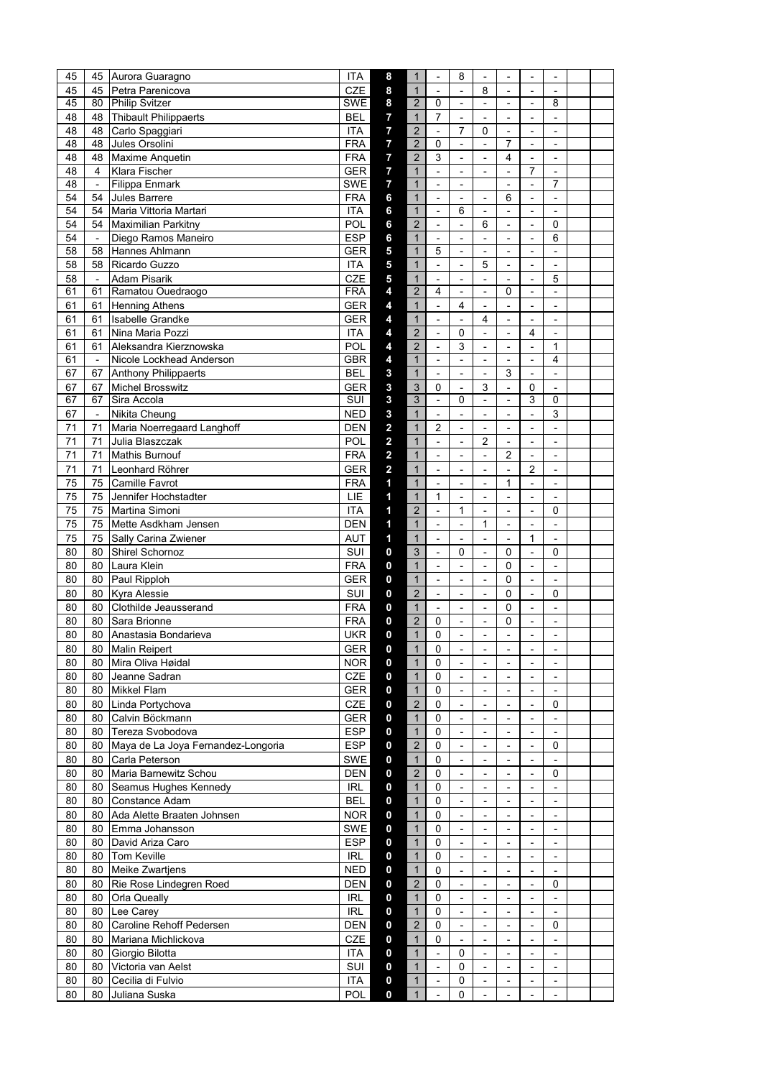| 45 |                             | 45 Aurora Guaragno                 | <b>ITA</b> | 8                       | 1                       | $\overline{a}$           | 8                        | ÷,                       |                          | $\overline{a}$           |                          |  |
|----|-----------------------------|------------------------------------|------------|-------------------------|-------------------------|--------------------------|--------------------------|--------------------------|--------------------------|--------------------------|--------------------------|--|
| 45 | 45                          | Petra Parenicova                   | <b>CZE</b> | 8                       | $\mathbf{1}$            | $\overline{\phantom{0}}$ | $\blacksquare$           | 8                        | $\overline{\phantom{a}}$ | $\overline{\phantom{a}}$ | $\frac{1}{2}$            |  |
| 45 |                             | 80 Philip Svitzer                  | SWE        | 8                       | $\overline{2}$          | $\Omega$                 | $\blacksquare$           | $\overline{a}$           | $\blacksquare$           | $\overline{\phantom{0}}$ | 8                        |  |
| 48 | 48                          | Thibault Philippaerts              | BEL        | $\overline{7}$          | $\mathbf{1}$            | $\overline{7}$           | $\overline{\phantom{0}}$ | ÷,                       | $\overline{\phantom{0}}$ | $\overline{a}$           | $\overline{\phantom{0}}$ |  |
| 48 | 48                          | Carlo Spaggiari                    | ITA        | $\overline{7}$          | $\overline{\mathbf{c}}$ | $\overline{a}$           | $\overline{7}$           | 0                        | $\sim$                   | $\overline{a}$           | $\overline{a}$           |  |
| 48 | 48                          | Jules Orsolini                     | <b>FRA</b> | $\overline{7}$          | $\overline{2}$          | 0                        | $\overline{\phantom{a}}$ | $\overline{a}$           | 7                        | $\overline{\phantom{0}}$ | $\overline{\phantom{0}}$ |  |
|    |                             |                                    |            |                         |                         | 3                        |                          |                          |                          |                          |                          |  |
| 48 | 48                          | Maxime Anquetin                    | <b>FRA</b> | 7                       | $\overline{2}$          |                          | $\blacksquare$           | $\overline{a}$           | 4                        | $\overline{a}$           | $\overline{a}$           |  |
| 48 | 4                           | Klara Fischer                      | <b>GER</b> | $\overline{7}$          | $\mathbf{1}$            | ÷,                       | $\overline{\phantom{a}}$ | $\overline{a}$           | $\blacksquare$           | 7                        | $\overline{\phantom{0}}$ |  |
| 48 | $\mathbf{v}$                | <b>Filippa Enmark</b>              | SWE        | $\overline{7}$          | $\mathbf{1}$            | $\overline{a}$           | $\blacksquare$           |                          | $\blacksquare$           | $\overline{a}$           | 7                        |  |
| 54 | 54                          | <b>Jules Barrere</b>               | <b>FRA</b> | 6                       | $\mathbf{1}$            | $\overline{\phantom{a}}$ | $\overline{\phantom{a}}$ | $\overline{a}$           | 6                        | $\overline{\phantom{a}}$ | $\frac{1}{2}$            |  |
| 54 | 54                          | Maria Vittoria Martari             | <b>ITA</b> | 6                       | $\mathbf{1}$            | $\overline{\phantom{a}}$ | 6                        | $\overline{a}$           | $\blacksquare$           | $\blacksquare$           | $\overline{a}$           |  |
| 54 | 54                          | Maximilian Parkitny                | POL        | 6                       | $\overline{2}$          | $\overline{a}$           | $\blacksquare$           | 6                        | $\overline{a}$           | $\overline{a}$           | $\Omega$                 |  |
| 54 | $\mathcal{L}_{\mathcal{A}}$ | Diego Ramos Maneiro                | <b>ESP</b> | 6                       | $\mathbf{1}$            | $\overline{a}$           | $\blacksquare$           | $\overline{a}$           | $\sim$                   | $\overline{\phantom{a}}$ | 6                        |  |
| 58 | 58                          | Hannes Ahlmann                     | GER        | 5                       | $\mathbf{1}$            | 5                        | $\overline{\phantom{a}}$ | $\overline{a}$           |                          | -                        | $\frac{1}{2}$            |  |
| 58 | 58                          | Ricardo Guzzo                      | <b>ITA</b> | 5                       | $\mathbf{1}$            | $\overline{a}$           | $\overline{\phantom{a}}$ | 5                        | $\blacksquare$           | $\overline{\phantom{0}}$ | $\overline{a}$           |  |
| 58 | $\overline{\phantom{a}}$    | <b>Adam Pisarik</b>                | <b>CZE</b> | 5                       | $\mathbf{1}$            | $\overline{\phantom{0}}$ | $\overline{\phantom{a}}$ | ÷,                       | $\blacksquare$           | $\overline{\phantom{0}}$ | 5                        |  |
| 61 | 61                          | Ramatou Ouedraogo                  | <b>FRA</b> | 4                       | $\overline{2}$          | 4                        | $\overline{\phantom{a}}$ | $\overline{a}$           | 0                        | $\overline{a}$           | $\overline{a}$           |  |
|    |                             |                                    |            |                         |                         |                          |                          |                          |                          |                          |                          |  |
| 61 | 61                          | <b>Henning Athens</b>              | <b>GER</b> | 4                       | $\mathbf{1}$            | $\overline{\phantom{a}}$ | 4                        | $\overline{a}$           | $\overline{\phantom{a}}$ | $\overline{\phantom{a}}$ | $\blacksquare$           |  |
| 61 | 61                          | <b>Isabelle Grandke</b>            | GER        | 4                       | $\mathbf{1}$            | $\overline{a}$           | $\overline{a}$           | 4                        | $\overline{a}$           | $\overline{a}$           | $\overline{a}$           |  |
| 61 | 61                          | Nina Maria Pozzi                   | <b>ITA</b> | 4                       | $\overline{2}$          | $\overline{\phantom{a}}$ | 0                        | $\overline{a}$           | $\blacksquare$           | 4                        | $\frac{1}{2}$            |  |
| 61 | 61                          | Aleksandra Kierznowska             | POL        | 4                       | $\overline{2}$          | $\frac{1}{2}$            | 3                        | ÷,                       | $\overline{a}$           | $\frac{1}{2}$            | $\mathbf{1}$             |  |
| 61 | $\overline{\phantom{a}}$    | Nicole Lockhead Anderson           | GBR        | 4                       | $\mathbf{1}$            | $\blacksquare$           | $\blacksquare$           | $\frac{1}{2}$            | $\overline{\phantom{a}}$ | $\overline{\phantom{a}}$ | $\overline{4}$           |  |
| 67 | 67                          | <b>Anthony Philippaerts</b>        | <b>BEL</b> | 3                       | $\mathbf{1}$            | $\frac{1}{2}$            | $\overline{\phantom{a}}$ | $\overline{a}$           | 3                        |                          | $\blacksquare$           |  |
| 67 | 67                          | <b>Michel Brosswitz</b>            | <b>GER</b> | 3                       | 3                       | $\Omega$                 | $\overline{\phantom{a}}$ | 3                        | $\blacksquare$           | 0                        | ÷,                       |  |
| 67 | 67                          | Sira Accola                        | SUI        | 3                       | 3                       | $\overline{\phantom{a}}$ | 0                        | $\overline{a}$           | ÷,                       | 3                        | $\mathbf 0$              |  |
| 67 | $\sim$                      | Nikita Cheung                      | <b>NED</b> |                         | $\mathbf{1}$            |                          | $\overline{\phantom{a}}$ |                          |                          |                          | 3                        |  |
|    |                             |                                    |            | 3                       |                         | $\overline{\phantom{a}}$ |                          | $\overline{a}$           | $\blacksquare$           | $\frac{1}{2}$            |                          |  |
| 71 | 71                          | Maria Noerregaard Langhoff         | <b>DEN</b> | 2                       | $\mathbf{1}$            | $\overline{2}$           | $\overline{\phantom{a}}$ | ÷,                       | $\overline{\phantom{a}}$ | ÷,                       | ÷,                       |  |
| 71 | 71                          | Julia Blaszczak                    | POL        | $\overline{\mathbf{c}}$ | $\mathbf{1}$            | $\overline{a}$           | $\blacksquare$           | 2                        | $\blacksquare$           | $\overline{a}$           | $\overline{a}$           |  |
| 71 | 71                          | <b>Mathis Burnouf</b>              | <b>FRA</b> | $\overline{\mathbf{c}}$ | $\mathbf{1}$            | $\overline{\phantom{a}}$ | $\overline{\phantom{0}}$ | ÷,                       | $\overline{2}$           | $\overline{\phantom{0}}$ | $\overline{a}$           |  |
| 71 | 71                          | Leonhard Röhrer                    | GER        | $\overline{\mathbf{c}}$ | $\mathbf{1}$            | $\overline{a}$           | $\overline{a}$           | $\overline{a}$           | $\overline{a}$           | 2                        | $\overline{a}$           |  |
| 75 | 75                          | Camille Favrot                     | <b>FRA</b> | 1                       | $\mathbf{1}$            | ÷,                       | $\overline{\phantom{a}}$ | ÷,                       | $\mathbf{1}$             | $\overline{\phantom{a}}$ | $\blacksquare$           |  |
| 75 | 75                          | Jennifer Hochstadter               | LIE        | 1                       | $\mathbf{1}$            | $\mathbf{1}$             | $\overline{\phantom{0}}$ | Ĭ.                       | $\overline{\phantom{0}}$ | -                        | $\overline{\phantom{0}}$ |  |
| 75 | 75                          | Martina Simoni                     | ITA        | 1                       | $\overline{2}$          | $\blacksquare$           | 1                        | ÷,                       | $\overline{a}$           | $\overline{a}$           | 0                        |  |
|    |                             |                                    |            |                         |                         |                          |                          |                          |                          |                          |                          |  |
| 75 | 75                          | Mette Asdkham Jensen               | <b>DEN</b> | 1                       | $\mathbf{1}$            | $\overline{\phantom{0}}$ | $\blacksquare$           | 1                        | $\blacksquare$           | $\overline{\phantom{0}}$ | $\overline{a}$           |  |
| 75 | 75                          | Sally Carina Zwiener               | AUT        | $\overline{\mathbf{1}}$ | $\mathbf{1}$            | $\overline{a}$           | $\overline{\phantom{a}}$ | $\overline{a}$           | $\sim$                   | 1                        | $\overline{a}$           |  |
| 80 | 80                          | Shirel Schornoz                    | <b>SUI</b> | 0                       | 3                       | $\overline{\phantom{a}}$ | 0                        | $\overline{a}$           | 0                        | $\frac{1}{2}$            | 0                        |  |
| 80 | 80                          | Laura Klein                        | <b>FRA</b> | 0                       | $\mathbf{1}$            | $\frac{1}{2}$            | $\blacksquare$           | ÷,                       | $\Omega$                 | $\overline{\phantom{a}}$ | $\overline{a}$           |  |
| 80 | 80                          | Paul Ripploh                       | <b>GER</b> | 0                       | $\mathbf{1}$            | $\blacksquare$           | $\overline{\phantom{a}}$ | $\overline{a}$           | 0                        | $\blacksquare$           | $\overline{a}$           |  |
| 80 | 80                          | Kyra Alessie                       | SUI        | 0                       | $\overline{2}$          | $\overline{\phantom{0}}$ | $\overline{\phantom{a}}$ | $\overline{a}$           | 0                        | $\overline{\phantom{0}}$ | 0                        |  |
| 80 | 80                          | Clothilde Jeausserand              | <b>FRA</b> | 0                       | $\mathbf{1}$            | $\overline{a}$           | $\overline{a}$           | L,                       | $\mathbf 0$              | $\overline{a}$           | $\overline{a}$           |  |
| 80 | 80                          | Sara Brionne                       | <b>FRA</b> | 0                       | $\overline{2}$          | 0                        | $\overline{\phantom{a}}$ | ÷,                       | 0                        | $\overline{\phantom{a}}$ | $\overline{\phantom{a}}$ |  |
|    |                             |                                    |            | 0                       |                         |                          |                          |                          |                          |                          |                          |  |
| 80 | 80                          | Anastasia Bondarieva               | <b>UKR</b> |                         | $\mathbf{1}$            | $\Omega$                 | $\overline{\phantom{0}}$ | $\overline{a}$           | $\overline{\phantom{0}}$ | ÷,                       | ÷,                       |  |
| 80 | 80                          | Malin Reipert                      | GER        | 0                       | 1                       | 0                        | $\overline{\phantom{a}}$ | $\overline{a}$           | $\overline{\phantom{a}}$ | $\overline{\phantom{a}}$ | $\overline{\phantom{a}}$ |  |
| 80 | 80                          | Mira Oliva Høidal                  | <b>NOR</b> | 0                       | $\mathbf{1}$            | 0                        | $\overline{\phantom{a}}$ | $\overline{\phantom{a}}$ | $\blacksquare$           | $\blacksquare$           | $\overline{\phantom{a}}$ |  |
| 80 | 80                          | Jeanne Sadran                      | CZE        | 0                       | $\mathbf{1}$            | $\mathbf 0$              | $\overline{\phantom{a}}$ | $\overline{a}$           | $\overline{\phantom{a}}$ | ä,                       | $\overline{a}$           |  |
| 80 | 80                          | Mikkel Flam                        | GER        | $\mathbf 0$             | $\mathbf{1}$            | $\mathbf 0$              | $\overline{\phantom{a}}$ | $\overline{\phantom{a}}$ | $\overline{\phantom{a}}$ | $\overline{\phantom{a}}$ | $\overline{\phantom{a}}$ |  |
| 80 |                             | 80 Linda Portychova                | CZE        | $\mathbf 0$             | $\overline{2}$          | 0                        | $\overline{\phantom{a}}$ | $\overline{a}$           | $\blacksquare$           | $\overline{\phantom{0}}$ | 0                        |  |
| 80 | 80                          | Calvin Böckmann                    | <b>GER</b> | $\mathbf 0$             | $\mathbf{1}$            | $\mathbf 0$              | $\blacksquare$           | ÷,                       | $\blacksquare$           | $\overline{\phantom{0}}$ | $\overline{\phantom{a}}$ |  |
| 80 | 80                          | Tereza Svobodova                   | <b>ESP</b> | 0                       | $\mathbf{1}$            | 0                        | $\overline{\phantom{a}}$ | -                        | $\blacksquare$           | ٠                        | $\blacksquare$           |  |
|    |                             |                                    |            |                         |                         |                          |                          |                          |                          |                          |                          |  |
| 80 | 80                          | Maya de La Joya Fernandez-Longoria | <b>ESP</b> | $\mathbf 0$             | $\overline{c}$          | $\mathbf 0$              | $\overline{\phantom{a}}$ | Ĭ.                       |                          | $\overline{\phantom{0}}$ | 0                        |  |
| 80 | 80                          | Carla Peterson                     | SWE        | $\mathbf 0$             | $\mathbf{1}$            | $\mathbf 0$              | $\overline{\phantom{a}}$ | $\blacksquare$           | $\overline{\phantom{a}}$ | $\overline{\phantom{a}}$ | $\overline{\phantom{a}}$ |  |
| 80 | 80                          | Maria Barnewitz Schou              | DEN        | 0                       | $\overline{2}$          | 0                        | $\overline{\phantom{a}}$ | $\overline{a}$           | $\overline{\phantom{a}}$ | $\overline{\phantom{a}}$ | 0                        |  |
| 80 | 80                          | Seamus Hughes Kennedy              | <b>IRL</b> | $\mathbf 0$             | $\mathbf{1}$            | $\pmb{0}$                | $\overline{\phantom{a}}$ | ÷,                       | $\blacksquare$           | $\overline{\phantom{0}}$ | $\overline{\phantom{a}}$ |  |
| 80 | 80                          | Constance Adam                     | <b>BEL</b> | 0                       | $\mathbf{1}$            | 0                        | $\overline{\phantom{a}}$ | -                        | $\overline{\phantom{a}}$ | ٠                        | $\overline{\phantom{a}}$ |  |
| 80 | 80                          | Ada Alette Braaten Johnsen         | NOR.       | $\mathbf 0$             | $\mathbf{1}$            | $\mathbf 0$              | $\overline{\phantom{a}}$ |                          | $\overline{\phantom{a}}$ |                          | $\blacksquare$           |  |
| 80 | 80                          | Emma Johansson                     | SWE        | $\mathbf 0$             | $\mathbf{1}$            | $\mathbf 0$              | $\overline{\phantom{a}}$ | $\frac{1}{2}$            | $\overline{\phantom{a}}$ | $\overline{\phantom{a}}$ | $\overline{\phantom{a}}$ |  |
| 80 | 80                          | David Ariza Caro                   | <b>ESP</b> | 0                       | $\mathbf{1}$            | 0                        | $\overline{\phantom{a}}$ | $\frac{1}{2}$            | $\overline{\phantom{a}}$ | $\overline{\phantom{a}}$ | $\overline{\phantom{a}}$ |  |
| 80 |                             | 80 Tom Keville                     | <b>IRL</b> | $\mathbf 0$             | $\mathbf{1}$            | $\pmb{0}$                | $\blacksquare$           | ÷,                       | $\overline{\phantom{a}}$ | $\overline{\phantom{0}}$ | $\overline{a}$           |  |
|    |                             |                                    |            |                         |                         |                          |                          |                          |                          |                          |                          |  |
| 80 |                             | 80 Meike Zwartjens                 | <b>NED</b> | 0                       | $\mathbf{1}$            | 0                        | $\overline{\phantom{a}}$ | $\overline{\phantom{a}}$ | $\overline{\phantom{a}}$ | $\overline{\phantom{a}}$ | $\overline{\phantom{a}}$ |  |
| 80 | 80                          | Rie Rose Lindegren Roed            | <b>DEN</b> | $\pmb{0}$               | $\overline{2}$          | $\mathbf 0$              | $\overline{\phantom{a}}$ | ÷,                       |                          |                          | 0                        |  |
| 80 | 80                          | <b>Orla Queally</b>                | <b>IRL</b> | 0                       | $\mathbf{1}$            | $\mathbf 0$              | $\overline{\phantom{a}}$ | $\overline{\phantom{a}}$ | $\overline{\phantom{a}}$ | $\overline{\phantom{a}}$ | $\overline{\phantom{a}}$ |  |
| 80 | 80                          | Lee Carey                          | <b>IRL</b> | 0                       | $\mathbf{1}$            | 0                        | $\overline{\phantom{a}}$ | $\overline{a}$           | $\overline{\phantom{a}}$ | $\overline{\phantom{a}}$ | $\overline{\phantom{a}}$ |  |
| 80 | 80                          | Caroline Rehoff Pedersen           | DEN        | $\mathbf 0$             | $\overline{c}$          | $\mathbf 0$              | $\overline{\phantom{a}}$ | ÷,                       | $\blacksquare$           | $\overline{\phantom{0}}$ | 0                        |  |
| 80 | 80                          | Mariana Michlickova                | CZE        | $\mathbf 0$             | $\mathbf{1}$            | 0                        | $\overline{\phantom{a}}$ | $\overline{a}$           | $\blacksquare$           | $\blacksquare$           | $\overline{\phantom{a}}$ |  |
| 80 | 80                          | Giorgio Bilotta                    | ITA        | $\mathbf 0$             | $\mathbf{1}$            | $\overline{\phantom{a}}$ | 0                        |                          | $\blacksquare$           |                          | $\frac{1}{2}$            |  |
| 80 | 80                          | Victoria van Aelst                 | SUI        | 0                       | $\mathbf{1}$            | $\overline{\phantom{a}}$ | 0                        | $\overline{\phantom{a}}$ | $\overline{\phantom{a}}$ | $\overline{\phantom{a}}$ | $\overline{\phantom{a}}$ |  |
|    |                             |                                    |            |                         |                         |                          |                          |                          |                          |                          |                          |  |
| 80 | 80                          | Cecilia di Fulvio                  | ITA        | 0                       | $\mathbf{1}$            | $\overline{\phantom{a}}$ | 0                        | $\frac{1}{2}$            | $\overline{\phantom{a}}$ | $\overline{\phantom{a}}$ | $\overline{\phantom{a}}$ |  |
| 80 | 80                          | Juliana Suska                      | POL        | 0                       | $\mathbf{1}$            | $\blacksquare$           | 0                        | $\overline{a}$           | $\blacksquare$           | $\overline{\phantom{0}}$ | $\overline{a}$           |  |